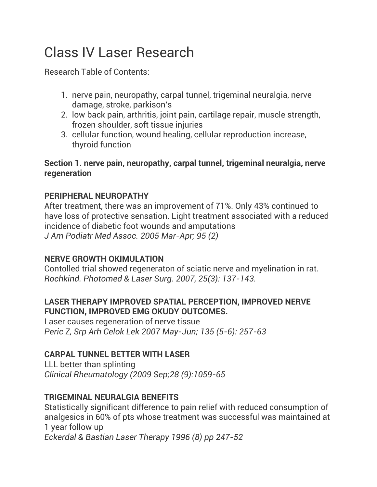# Class IV Laser Research

Research Table of Contents:

- 1. nerve pain, neuropathy, carpal tunnel, trigeminal neuralgia, nerve damage, stroke, parkison's
- 2. low back pain, arthritis, joint pain, cartilage repair, muscle strength, frozen shoulder, soft tissue injuries
- 3. cellular function, wound healing, cellular reproduction increase, thyroid function

# **Section 1. nerve pain, neuropathy, carpal tunnel, trigeminal neuralgia, nerve regeneration**

# **PERIPHERAL NEUROPATHY**

After treatment, there was an improvement of 71%. Only 43% continued to have loss of protective sensation. Light treatment associated with a reduced incidence of diabetic foot wounds and amputations *J Am Podiatr Med Assoc. 2005 Mar-Apr; 95 (2)*

# **NERVE GROWTH OKIMULATION**

Contolled trial showed regeneraton of sciatic nerve and myelination in rat. *Rochkind. Photomed & Laser Surg. 2007, 25(3): 137-143.*

# **LASER THERAPY IMPROVED SPATIAL PERCEPTION, IMPROVED NERVE FUNCTION, IMPROVED EMG OKUDY OUTCOMES.**

Laser causes regeneration of nerve tissue *Peric Z, Srp Arh Celok Lek 2007 May-Jun; 135 (5-6): 257-63*

# **CARPAL TUNNEL BETTER WITH LASER**

LLL better than splinting *Clinical Rheumatology (2009 Sep;28 (9):1059-65*

# **TRIGEMINAL NEURALGIA BENEFITS**

Statistically significant difference to pain relief with reduced consumption of analgesics in 60% of pts whose treatment was successful was maintained at 1 year follow up *Eckerdal & Bastian Laser Therapy 1996 (8) pp 247-52*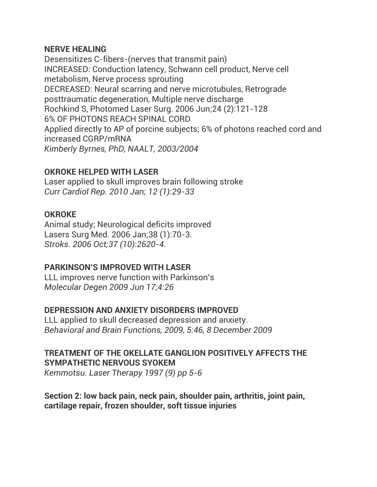#### **NERVE HEALING**

Desensitizes C-fibers-(nerves that transmit pain) INCREASED: Conduction latency, Schwann cell product, Nerve cell metabolism, Nerve process sprouting DECREASED: Neural scarring and nerve microtubules, Retrograde posttraumatic degeneration, Multiple nerve discharge Rochkind S, Photomed Laser Surg. 2006 Jun;24 (2):121-128 6% OF PHOTONS REACH SPINAL CORD Applied directly to AP of porcine subjects; 6% of photons reached cord and increased CGRP/mRNA *Kimberly Byrnes, PhD, NAALT, 2003/2004*

## **OKROKE HELPED WITH LASER**

Laser applied to skull improves brain following stroke *Curr Cardiol Rep. 2010 Jan; 12 (1):29-33*

## **OKROKE**

Animal study; Neurological deficits improved Lasers Surg Med. 2006 Jan;38 (1):70-3. *Stroks. 2006 Oct;37 (10):2620-4.*

## **PARKINSON'S IMPROVED WITH LASER**

LLL improves nerve function with Parkinson's *Molecular Degen 2009 Jun 17;4:26*

# **DEPRESSION AND ANXIETY DISORDERS IMPROVED**

LLL applied to skull decreased depression and anxiety. *Behavioral and Brain Functions, 2009, 5:46, 8 December 2009*

## **TREATMENT OF THE OKELLATE GANGLION POSITIVELY AFFECTS THE SYMPATHETIC NERVOUS SYOKEM**

*Kemmotsu. Laser Therapy 1997 (9) pp 5-6*

## **Section 2: low back pain, neck pain, shoulder pain, arthritis, joint pain, cartilage repair, frozen shoulder, soft tissue injuries**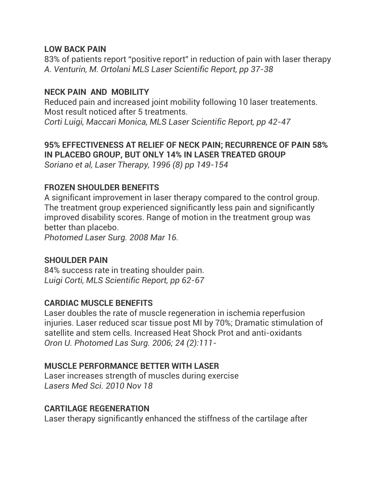#### **LOW BACK PAIN**

83% of patients report "positive report" in reduction of pain with laser therapy *A. Venturin, M. Ortolani MLS Laser Scientific Report, pp 37-38*

# **NECK PAIN AND MOBILITY**

Reduced pain and increased joint mobility following 10 laser treatements. Most result noticed after 5 treatments.

*Corti Luigi, Maccari Monica, MLS Laser Scientific Report, pp 42-47*

# **95% EFFECTIVENESS AT RELIEF OF NECK PAIN; RECURRENCE OF PAIN 58% IN PLACEBO GROUP, BUT ONLY 14% IN LASER TREATED GROUP**

*Soriano et al, Laser Therapy, 1996 (8) pp 149-154*

# **FROZEN SHOULDER BENEFITS**

A significant improvement in laser therapy compared to the control group. The treatment group experienced significantly less pain and significantly improved disability scores. Range of motion in the treatment group was better than placebo.

*Photomed Laser Surg. 2008 Mar 16.*

## **SHOULDER PAIN**

84% success rate in treating shoulder pain. *Luigi Corti, MLS Scientific Report, pp 62-67*

# **CARDIAC MUSCLE BENEFITS**

Laser doubles the rate of muscle regeneration in ischemia reperfusion injuries. Laser reduced scar tissue post MI by 70%; Dramatic stimulation of satellite and stem cells. Increased Heat Shock Prot and anti-oxidants *Oron U. Photomed Las Surg. 2006; 24 (2):111-*

## **MUSCLE PERFORMANCE BETTER WITH LASER**

Laser increases strength of muscles during exercise *Lasers Med Sci. 2010 Nov 18*

## **CARTILAGE REGENERATION**

Laser therapy significantly enhanced the stiffness of the cartilage after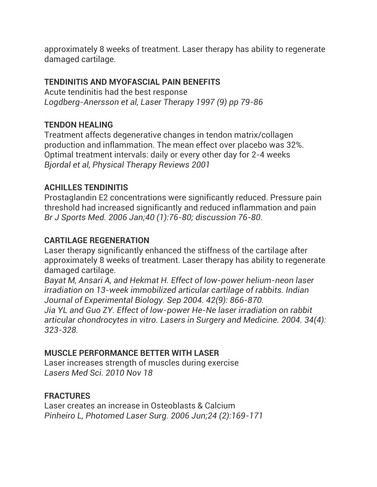approximately 8 weeks of treatment. Laser therapy has ability to regenerate damaged cartilage.

# **TENDINITIS AND MYOFASCIAL PAIN BENEFITS**

Acute tendinitis had the best response *Logdberg-Anersson et al, Laser Therapy 1997 (9) pp 79-86*

# **TENDON HEALING**

Treatment affects degenerative changes in tendon matrix/collagen production and inflammation. The mean effect over placebo was 32%. Optimal treatment intervals: daily or every other day for 2-4 weeks *Bjordal et al, Physical Therapy Reviews 2001*

# **ACHILLES TENDINITIS**

Prostaglandin E2 concentrations were significantly reduced. Pressure pain threshold had increased significantly and reduced inflammation and pain *Br J Sports Med. 2006 Jan;40 (1):76-80; discussion 76-80.*

# **CARTILAGE REGENERATION**

Laser therapy significantly enhanced the stiffness of the cartilage after approximately 8 weeks of treatment. Laser therapy has ability to regenerate damaged cartilage.

*Bayat M, Ansari A, and Hekmat H. Effect of low-power helium-neon laser irradiation on 13-week immobilized articular cartilage of rabbits. Indian Journal of Experimental Biology. Sep 2004. 42(9): 866-870.*

*Jia YL and Guo ZY. Effect of low-power He-Ne laser irradiation on rabbit articular chondrocytes in vitro. Lasers in Surgery and Medicine. 2004. 34(4): 323-328.*

## **MUSCLE PERFORMANCE BETTER WITH LASER**

Laser increases strength of muscles during exercise *Lasers Med Sci. 2010 Nov 18*

## **FRACTURES**

Laser creates an increase in Osteoblasts & Calcium *Pinheiro L, Photomed Laser Surg. 2006 Jun;24 (2):169-171*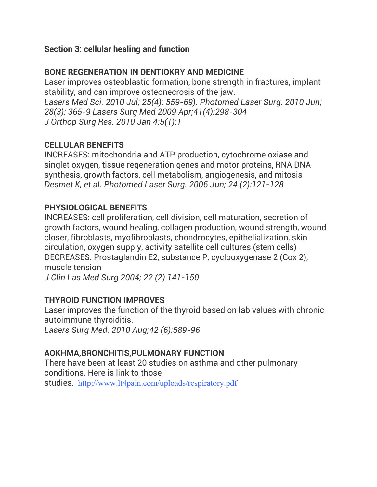# **Section 3: cellular healing and function**

# **BONE REGENERATION IN DENTIOKRY AND MEDICINE**

Laser improves osteoblastic formation, bone strength in fractures, implant stability, and can improve osteonecrosis of the jaw. *Lasers Med Sci. 2010 Jul; 25(4): 559-69). Photomed Laser Surg. 2010 Jun; 28(3): 365-9 Lasers Surg Med 2009 Apr;41(4):298-304 J Orthop Surg Res. 2010 Jan 4;5(1):1*

## **CELLULAR BENEFITS**

INCREASES: mitochondria and ATP production, cytochrome oxiase and singlet oxygen, tissue regeneration genes and motor proteins, RNA DNA synthesis, growth factors, cell metabolism, angiogenesis, and mitosis *Desmet K, et al. Photomed Laser Surg. 2006 Jun; 24 (2):121-128*

## **PHYSIOLOGICAL BENEFITS**

INCREASES: cell proliferation, cell division, cell maturation, secretion of growth factors, wound healing, collagen production, wound strength, wound closer, fibroblasts, myofibroblasts, chondrocytes, epithelialization, skin circulation, oxygen supply, activity satellite cell cultures (stem cells) DECREASES: Prostaglandin E2, substance P, cyclooxygenase 2 (Cox 2), muscle tension

*J Clin Las Med Surg 2004; 22 (2) 141-150*

## **THYROID FUNCTION IMPROVES**

Laser improves the function of the thyroid based on lab values with chronic autoimmune thyroiditis.

*Lasers Surg Med. 2010 Aug;42 (6):589-96*

## **AOKHMA,BRONCHITIS,PULMONARY FUNCTION**

There have been at least 20 studies on asthma and other pulmonary conditions. Here is link to those studies. <http://www.lt4pain.com/uploads/respiratory.pdf>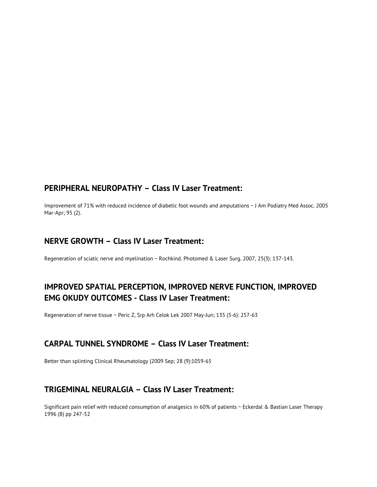#### **PERIPHERAL NEUROPATHY – Class IV Laser Treatment:**

Improvement of 71% with reduced incidence of diabetic foot wounds and amputations ~ J Am Podiatry Med Assoc. 2005 Mar-Apr; 95 (2).

#### **NERVE GROWTH – Class IV Laser Treatment:**

Regeneration of sciatic nerve and myelination ~ Rochkind. Photomed & Laser Surg. 2007, 25(3): 137-143.

#### **IMPROVED SPATIAL PERCEPTION, IMPROVED NERVE FUNCTION, IMPROVED EMG OKUDY OUTCOMES - Class IV Laser Treatment:**

Regeneration of nerve tissue ~ Peric Z, Srp Arh Celok Lek 2007 May-Jun; 135 (5-6): 257-63

#### **CARPAL TUNNEL SYNDROME – Class IV Laser Treatment:**

Better than splinting Clinical Rheumatology (2009 Sep; 28 (9):1059-65

#### **TRIGEMINAL NEURALGIA – Class IV Laser Treatment:**

Significant pain relief with reduced consumption of analgesics in 60% of patients ~ Eckerdal & Bastian Laser Therapy 1996 (8) pp 247-52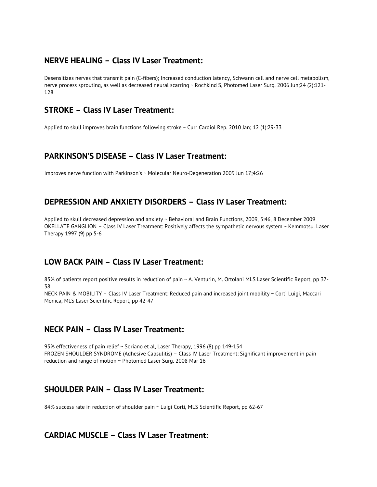#### **NERVE HEALING – Class IV Laser Treatment:**

Desensitizes nerves that transmit pain (C-fibers); Increased conduction latency, Schwann cell and nerve cell metabolism, nerve process sprouting, as well as decreased neural scarring ~ Rochkind S, Photomed Laser Surg. 2006 Jun;24 (2):121- 128

#### **STROKE – Class IV Laser Treatment:**

Applied to skull improves brain functions following stroke ~ Curr Cardiol Rep. 2010 Jan; 12 (1):29-33

#### **PARKINSON'S DISEASE – Class IV Laser Treatment:**

Improves nerve function with Parkinson's ~ Molecular Neuro-Degeneration 2009 Jun 17;4:26

#### **DEPRESSION AND ANXIETY DISORDERS – Class IV Laser Treatment:**

Applied to skull decreased depression and anxiety ~ Behavioral and Brain Functions, 2009, 5:46, 8 December 2009 OKELLATE GANGLION – Class IV Laser Treatment: Positively affects the sympathetic nervous system ~ Kemmotsu. Laser Therapy 1997 (9) pp 5-6

#### **LOW BACK PAIN – Class IV Laser Treatment:**

83% of patients report positive results in reduction of pain ~ A. Venturin, M. Ortolani MLS Laser Scientific Report, pp 37-38

NECK PAIN & MOBILITY – Class IV Laser Treatment: Reduced pain and increased joint mobility ~ Corti Luigi, Maccari Monica, MLS Laser Scientific Report, pp 42-47

#### **NECK PAIN – Class IV Laser Treatment:**

95% effectiveness of pain relief ~ Soriano et al, Laser Therapy, 1996 (8) pp 149-154 FROZEN SHOULDER SYNDROME (Adhesive Capsulitis) – Class IV Laser Treatment: Significant improvement in pain reduction and range of motion ~ Photomed Laser Surg. 2008 Mar 16

#### **SHOULDER PAIN – Class IV Laser Treatment:**

84% success rate in reduction of shoulder pain ~ Luigi Corti, MLS Scientific Report, pp 62-67

#### **CARDIAC MUSCLE – Class IV Laser Treatment:**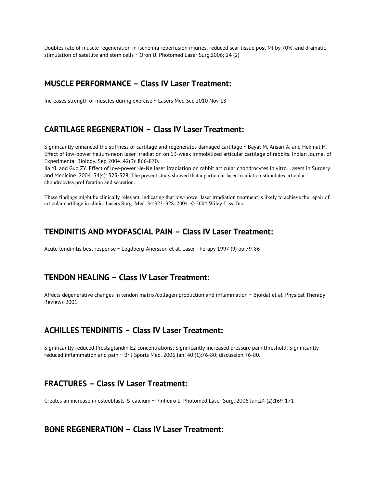Doubles rate of muscle regeneration in ischemia reperfusion injuries, reduced scar tissue post MI by 70%, and dramatic stimulation of satellite and stem cells ~ Oron U. Photomed Laser Surg.2006; 24 (2)

#### **MUSCLE PERFORMANCE – Class IV Laser Treatment:**

Increases strength of muscles during exercise ~ Lasers Med Sci. 2010 Nov 18

#### **CARTILAGE REGENERATION – Class IV Laser Treatment:**

Significantly enhanced the stiffness of cartilage and regenerates damaged cartilage ~ Bayat M, Ansari A, and Hekmat H. Effect of low-power helium-neon laser irradiation on 13-week immobilized articular cartilage of rabbits. Indian Journal of Experimental Biology. Sep 2004. 42(9): 866-870.

Jia YL and Guo ZY. Effect of low-power He-Ne laser irradiation on rabbit articular chondrocytes in vitro. Lasers in Surgery and Medicine. 2004. 34(4): 323-328. The present study showed that a particular laser irradiation stimulates articular chondrocytes proliferation and secretion.

These findings might be clinically relevant, indicating that low-power laser irradiation treatment is likely to achieve the repair of articular cartilage in clinic. Lasers Surg. Med. 34:323–328, 2004. © 2004 Wiley-Liss, Inc.

#### **TENDINITIS AND MYOFASCIAL PAIN – Class IV Laser Treatment:**

Acute tendinitis best response ~ Logdberg-Anersson et al, Laser Therapy 1997 (9) pp 79-86

#### **TENDON HEALING – Class IV Laser Treatment:**

Affects degenerative changes in tendon matrix/collagen production and inflammation ~ Bjordal et al, Physical Therapy Reviews 2001

#### **ACHILLES TENDINITIS – Class IV Laser Treatment:**

Significantly reduced Prostaglandin E2 concentrations; Significantly increased pressure pain threshold; Significantly reduced inflammation and pain ~ Br J Sports Med. 2006 Jan; 40 (1):76-80; discussion 76-80.

#### **FRACTURES – Class IV Laser Treatment:**

Creates an increase in osteoblasts & calcium ~ Pinheiro L, Photomed Laser Surg. 2006 Jun;24 (2):169-171

#### **BONE REGENERATION – Class IV Laser Treatment:**